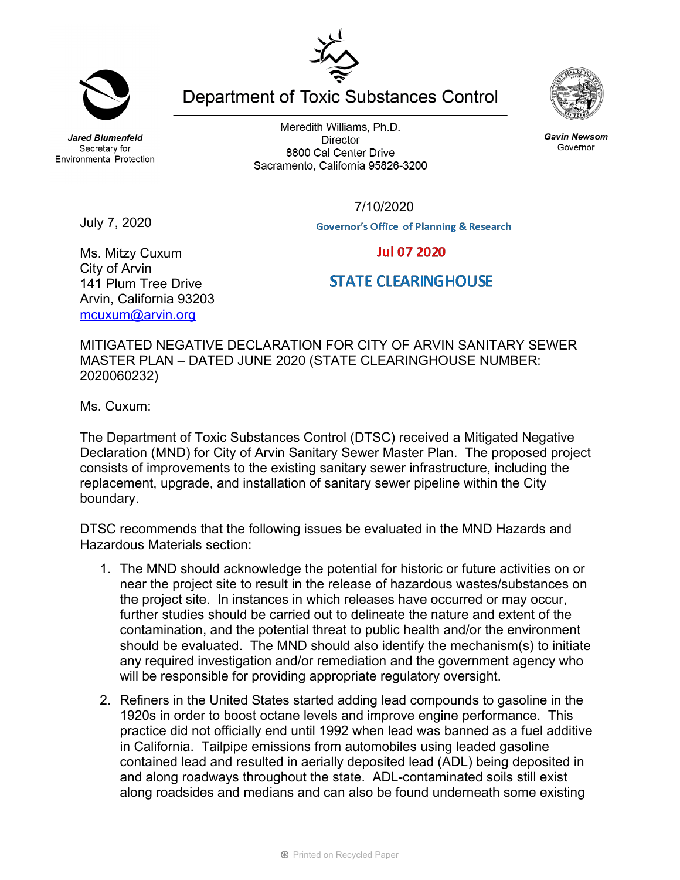**Jared Blumenfeld** Secretary for **Environmental Protection** 

Meredith Williams, Ph.D. **Director** 8800 Cal Center Drive Sacramento, California 95826-3200

**Department of Toxic Substances Control** 



**Gavin Newsom** Governor

July 7, 2020

**Jul 07 2020** 

**STATE CLEARINGHOUSE** 

## Ms. Mitzy Cuxum City of Arvin 141 Plum Tree Drive Arvin, California 93203 [mcuxum@arvin.org](mailto:mcuxum@arvin.org)

MITIGATED NEGATIVE DECLARATION FOR CITY OF ARVIN SANITARY SEWER MASTER PLAN – DATED JUNE 2020 (STATE CLEARINGHOUSE NUMBER: 2020060232)

Ms. Cuxum:

The Department of Toxic Substances Control (DTSC) received a Mitigated Negative Declaration (MND) for City of Arvin Sanitary Sewer Master Plan. The proposed project consists of improvements to the existing sanitary sewer infrastructure, including the replacement, upgrade, and installation of sanitary sewer pipeline within the City boundary.

DTSC recommends that the following issues be evaluated in the MND Hazards and Hazardous Materials section:

- 1. The MND should acknowledge the potential for historic or future activities on or near the project site to result in the release of hazardous wastes/substances on the project site. In instances in which releases have occurred or may occur, further studies should be carried out to delineate the nature and extent of the contamination, and the potential threat to public health and/or the environment should be evaluated. The MND should also identify the mechanism(s) to initiate any required investigation and/or remediation and the government agency who will be responsible for providing appropriate regulatory oversight.
- 2. Refiners in the United States started adding lead compounds to gasoline in the 1920s in order to boost octane levels and improve engine performance. This practice did not officially end until 1992 when lead was banned as a fuel additive in California. Tailpipe emissions from automobiles using leaded gasoline contained lead and resulted in aerially deposited lead (ADL) being deposited in and along roadways throughout the state. ADL-contaminated soils still exist along roadsides and medians and can also be found underneath some existing



7/10/2020

**Governor's Office of Planning & Research**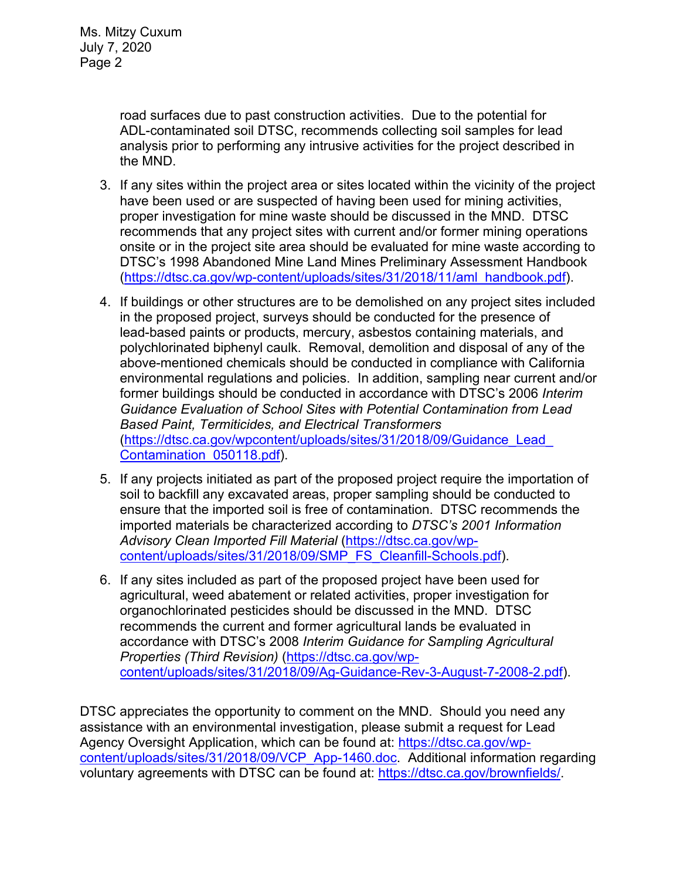road surfaces due to past construction activities. Due to the potential for ADL-contaminated soil DTSC, recommends collecting soil samples for lead analysis prior to performing any intrusive activities for the project described in the MND.

- 3. If any sites within the project area or sites located within the vicinity of the project have been used or are suspected of having been used for mining activities, proper investigation for mine waste should be discussed in the MND. DTSC recommends that any project sites with current and/or former mining operations onsite or in the project site area should be evaluated for mine waste according to DTSC's 1998 Abandoned Mine Land Mines Preliminary Assessment Handbook [\(https://dtsc.ca.gov/wp-content/uploads/sites/31/2018/11/aml\\_handbook.pdf\)](https://dtsc.ca.gov/wp-content/uploads/sites/31/2018/11/aml_handbook.pdf).
- 4. If buildings or other structures are to be demolished on any project sites included in the proposed project, surveys should be conducted for the presence of lead-based paints or products, mercury, asbestos containing materials, and polychlorinated biphenyl caulk. Removal, demolition and disposal of any of the above-mentioned chemicals should be conducted in compliance with California environmental regulations and policies. In addition, sampling near current and/or former buildings should be conducted in accordance with DTSC's 2006 *Interim Guidance Evaluation of School Sites with Potential Contamination from Lead Based Paint, Termiticides, and Electrical Transformers* [\(https://dtsc.ca.gov/wpcontent/uploads/sites/31/2018/09/Guidance\\_Lead\\_](https://gcc02.safelinks.protection.outlook.com/?url=https%3A%2F%2Fdtsc.ca.gov%2Fwp-content%2Fuploads%2Fsites%2F31%2F2018%2F09%2FGuidance_Lead_Contamination_050118.pdf&data=02%7C01%7C%7C5d5d271a38734f176ff008d74b61ecfd%7C3f4ffbf4c7604c2abab8c63ef4bd2439%7C0%7C0%7C637060756261296590&sdata=1JGWitJI6nMkU%2FVDzi0GYiam5nl8DLJhkRmLCticfdA%3D&reserved=0)  [Contamination\\_050118.pdf\)](https://gcc02.safelinks.protection.outlook.com/?url=https%3A%2F%2Fdtsc.ca.gov%2Fwp-content%2Fuploads%2Fsites%2F31%2F2018%2F09%2FGuidance_Lead_Contamination_050118.pdf&data=02%7C01%7C%7C5d5d271a38734f176ff008d74b61ecfd%7C3f4ffbf4c7604c2abab8c63ef4bd2439%7C0%7C0%7C637060756261296590&sdata=1JGWitJI6nMkU%2FVDzi0GYiam5nl8DLJhkRmLCticfdA%3D&reserved=0).
- 5. If any projects initiated as part of the proposed project require the importation of soil to backfill any excavated areas, proper sampling should be conducted to ensure that the imported soil is free of contamination. DTSC recommends the imported materials be characterized according to *DTSC's 2001 Information Advisory Clean Imported Fill Material* [\(https://dtsc.ca.gov/wp](https://dtsc.ca.gov/wp-content/uploads/sites/31/2018/09/SMP_FS_Cleanfill-Schools.pdf)[content/uploads/sites/31/2018/09/SMP\\_FS\\_Cleanfill-Schools.pdf\)](https://dtsc.ca.gov/wp-content/uploads/sites/31/2018/09/SMP_FS_Cleanfill-Schools.pdf).
- 6. If any sites included as part of the proposed project have been used for agricultural, weed abatement or related activities, proper investigation for organochlorinated pesticides should be discussed in the MND. DTSC recommends the current and former agricultural lands be evaluated in accordance with DTSC's 2008 *Interim Guidance for Sampling Agricultural Properties (Third Revision)* [\(https://dtsc.ca.gov/wp](https://dtsc.ca.gov/wp-content/uploads/sites/31/2018/09/Ag-Guidance-Rev-3-August-7-2008-2.pdf)[content/uploads/sites/31/2018/09/Ag-Guidance-Rev-3-August-7-2008-2.pdf\)](https://dtsc.ca.gov/wp-content/uploads/sites/31/2018/09/Ag-Guidance-Rev-3-August-7-2008-2.pdf).

DTSC appreciates the opportunity to comment on the MND. Should you need any assistance with an environmental investigation, please submit a request for Lead Agency Oversight Application, which can be found at: [https://dtsc.ca.gov/wp](https://dtsc.ca.gov/wp-content/uploads/sites/31/2018/09/VCP_App-1460.doc)[content/uploads/sites/31/2018/09/VCP\\_App-1460.doc.](https://dtsc.ca.gov/wp-content/uploads/sites/31/2018/09/VCP_App-1460.doc) Additional information regarding voluntary agreements with DTSC can be found at: [https://dtsc.ca.gov/brownfields/.](https://dtsc.ca.gov/brownfields/)